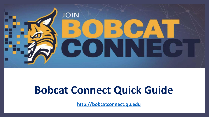

# **Bobcat Connect Quick Guide**

**[http://bobcatconnect.qu.edu](http://bobcatconnect.qu.edu/)**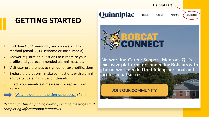## **GETTING STARTED**

- 1. Click Join Our Community and choose a sign-in method (email, QU Username or social media).
- 2. Answer registration questions to customize your profile and get recommended alumni matches.
- 3. Visit user preferences to sign up for text notifications.
- 4. Explore the platform, make connections with alumni and participate in discussion threads.
- 5. Check your email/text messages for replies from alumni!

[Watch a demo on the sign-up process.](https://www.loom.com/share/34e10489026d4a208b788697948c8b44) (4 min)

*Read on for tips on finding alumni, sending messages and completing informational interviews!*

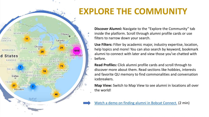## **EXPLORE THE COMMUNITY**



**Discover Alumni:** Navigate to the "Explore the Community" tab inside the platform. Scroll through alumni profile cards or use filters to narrow down your search.

**Use Filters:** Filter by academic major, industry expertise, location, help topics and more! You can also search by keyword, bookmark alumni to connect with later and view those you've chatted with before.

**Read Profiles:** Click alumni profile cards and scroll through to discover more about them. Read sections like hobbies, interests and favorite QU memory to find commonalities and conversation icebreakers.

**Map View:** Switch to Map View to see alumni in locations all over the world!

[Watch a demo on finding alumni in Bobcat Connect.](https://www.loom.com/share/17b3afb767ca4d878ee96fcedf9c3c7e) (2 min)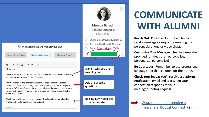### Pick a template and make it your own!

**Networking Advice** 

**Career Exploration\*** 

**Choosing A Major** 

### $\frac{1}{2}$ 三  $\oslash$

Hi Monica.

While browsing Bobcat Connect, your profile came up. I am interested in learning more about your role as a Content Strategist.

What advice do you have for someone considering a career as a Content Strategist? I'd love to hear how you got into the role of a Content Strategist at Aetna, a CVS Health Company. In particular, what are the biggest challenges you encounter in your daily work and how might your role have changed since the Covid-19 pandemic?

Would you be able to schedule a 15-minute virtual appointment to chat about these questions. I'd love to hear your insights!



**Monica Barudin Content Strategis...** Newton, MA

- Quinnipiac University, Bache...  $\otimes$
- Aetna, a CVS Health Compa...  $\Box$
- Retail Stores, Movies, TV, M...

Explain why you are reaching out.

Ask 1-3 specific questions.

Indicate how you'd like to communicate.

## **COMMUNICATE WITH ALUMNI**

**Reach Out: C**lick the "Let's Chat" button to send a message or request a meeting (inperson, via phone or video chat).

**Customize Your Message:** Use the templates provided for ideas then personalize, personalize, personalize!

**Be Courteous:** Remember to use professional language and thank alumni for their time.

**Check Your Inbox:** You'll receive a platform notification, email and text when your connection responds to your message/meeting request.



Thank you,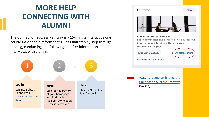## **MORE HELP CONNECTING WITH ALUMNI**

The Connection Success Pathway is a 15-minute interactive crash course inside the platform that **guides you** step by step through landing, conducting and following-up after informational interviews with alumni.